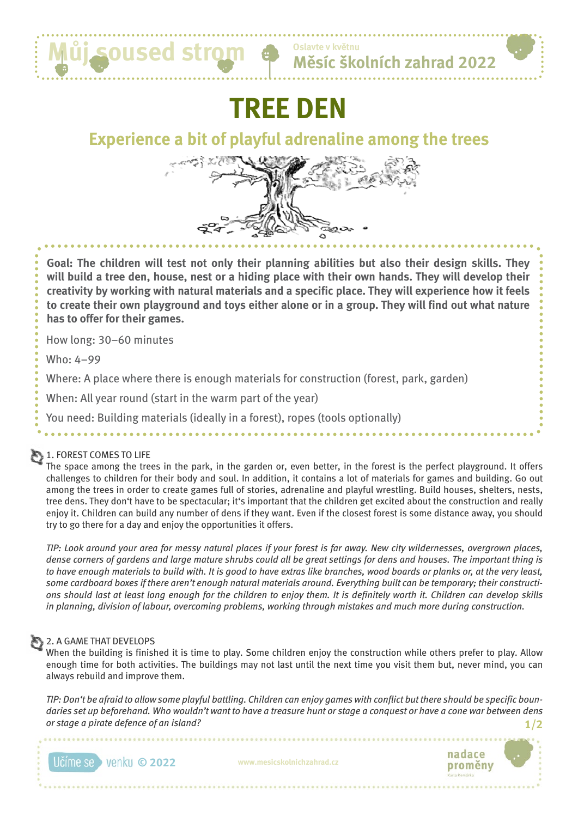

**Oslavte v květnu**

# **TREE DEN**

## **Experience a bit of playful adrenaline among the trees**



**Goal: The children will test not only their planning abilities but also their design skills. They will build a tree den, house, nest or a hiding place with their own hands. They will develop their creativity by working with natural materials and a specific place. They will experience how it feels to create their own playground and toys either alone or in a group. They will find out what nature has to offer for their games.**

How long: 30–60 minutes

Who: 4–99

Where: A place where there is enough materials for construction (forest, park, garden)

When: All year round (start in the warm part of the year)

You need: Building materials (ideally in a forest), ropes (tools optionally)

#### 1. FOREST COMES TO LIFE

The space among the trees in the park, in the garden or, even better, in the forest is the perfect playground. It offers challenges to children for their body and soul. In addition, it contains a lot of materials for games and building. Go out among the trees in order to create games full of stories, adrenaline and playful wrestling. Build houses, shelters, nests, tree dens. They don't have to be spectacular; it's important that the children get excited about the construction and really enjoy it. Children can build any number of dens if they want. Even if the closest forest is some distance away, you should try to go there for a day and enjoy the opportunities it offers.

*TIP: Look around your area for messy natural places if your forest is far away. New city wildernesses, overgrown places, dense corners of gardens and large mature shrubs could all be great settings for dens and houses. The important thing is to have enough materials to build with. It is good to have extras like branches, wood boards or planks or, at the very least, some cardboard boxes if there aren't enough natural materials around. Everything built can be temporary; their constructions should last at least long enough for the children to enjoy them. It is definitely worth it. Children can develop skills in planning, division of labour, overcoming problems, working through mistakes and much more during construction.*

### **2. A GAME THAT DEVELOPS**

When the building is finished it is time to play. Some children enjoy the construction while others prefer to play. Allow enough time for both activities. The buildings may not last until the next time you visit them but, never mind, you can always rebuild and improve them.

*TIP: Don't be afraid to allow some playful battling. Children can enjoy games with conflict but there should be specific boundaries set up beforehand. Who wouldn't want to have a treasure hunt or stage a conquest or have a cone war between dens or stage a pirate defence of an island?* **1/2**

**© 2022 www.mesicskolnichzahrad.cz**